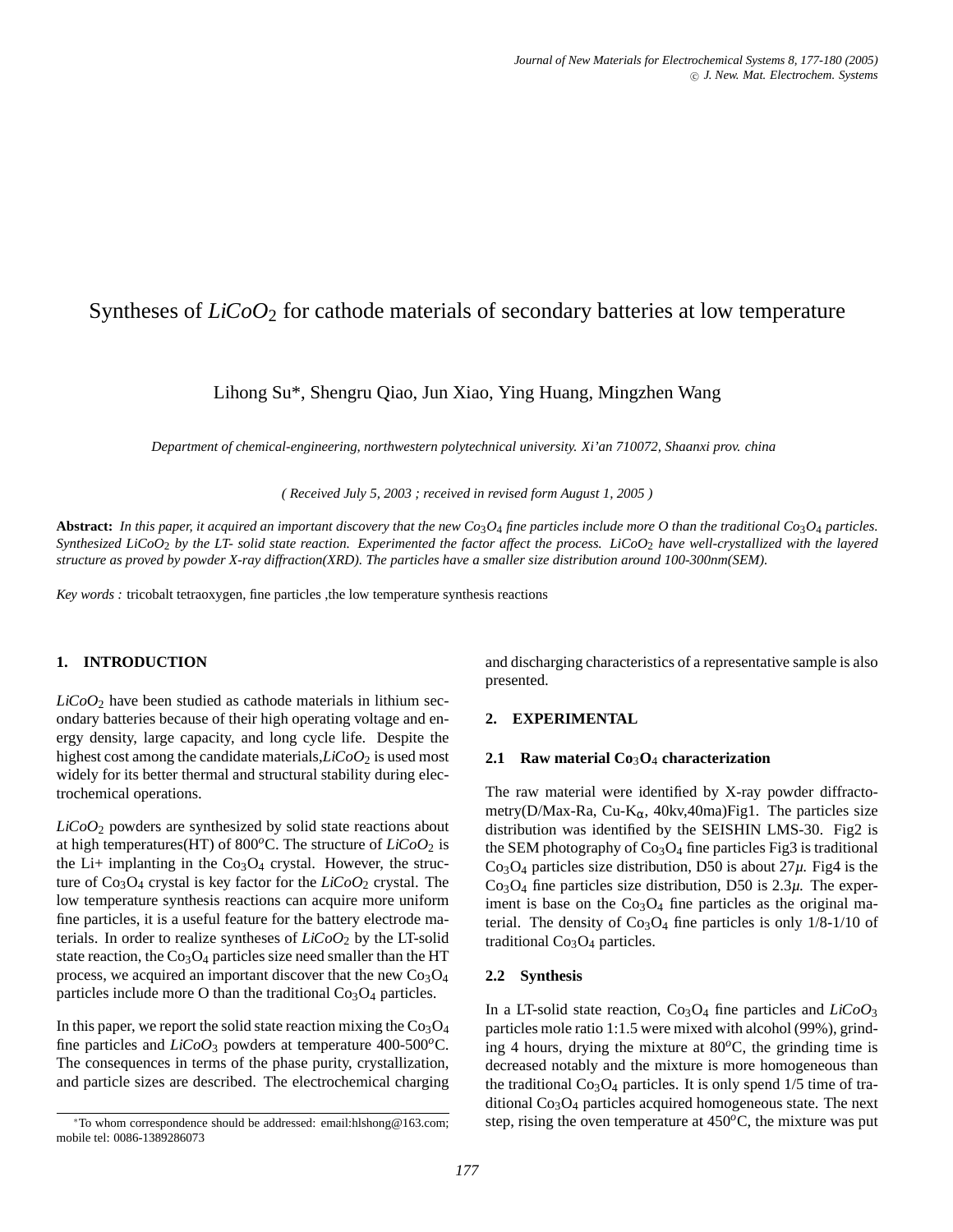# Syntheses of *LiCoO*<sub>2</sub> for cathode materials of secondary batteries at low temperature

## Lihong Su\*, Shengru Qiao, Jun Xiao, Ying Huang, Mingzhen Wang

*Department of chemical-engineering, northwestern polytechnical university. Xi'an 710072, Shaanxi prov. china*

*( Received July 5, 2003 ; received in revised form August 1, 2005 )*

**Abstract:** *In this paper, it acquired an important discovery that the new Co*3*O*<sup>4</sup> *fine particles include more O than the traditional Co*3*O*<sup>4</sup> *particles. Synthesized LiCoO*<sup>2</sup> *by the LT- solid state reaction. Experimented the factor affect the process. LiCoO*<sup>2</sup> *have well-crystallized with the layered structure as proved by powder X-ray diffraction(XRD). The particles have a smaller size distribution around 100-300nm(SEM).*

*Key words :* tricobalt tetraoxygen, fine particles ,the low temperature synthesis reactions

#### **1. INTRODUCTION**

 $LiCoO<sub>2</sub>$  have been studied as cathode materials in lithium secondary batteries because of their high operating voltage and energy density, large capacity, and long cycle life. Despite the highest cost among the candidate materials,*LiCoO*<sub>2</sub> is used most widely for its better thermal and structural stability during electrochemical operations.

*LiCoO*<sup>2</sup> powders are synthesized by solid state reactions about at high temperatures(HT) of 800 $^{\circ}$ C. The structure of *LiCoO*<sub>2</sub> is the Li+ implanting in the  $Co<sub>3</sub>O<sub>4</sub>$  crystal. However, the structure of  $Co<sub>3</sub>O<sub>4</sub>$  crystal is key factor for the  $LiCoO<sub>2</sub>$  crystal. The low temperature synthesis reactions can acquire more uniform fine particles, it is a useful feature for the battery electrode materials. In order to realize syntheses of  $LiCoO<sub>2</sub>$  by the LT-solid state reaction, the  $Co<sub>3</sub>O<sub>4</sub>$  particles size need smaller than the HT process, we acquired an important discover that the new  $Co<sub>3</sub>O<sub>4</sub>$ particles include more O than the traditional  $Co<sub>3</sub>O<sub>4</sub>$  particles.

In this paper, we report the solid state reaction mixing the  $Co<sub>3</sub>O<sub>4</sub>$ fine particles and *LiCoO*<sup>3</sup> powders at temperature 400-500*o*C. The consequences in terms of the phase purity, crystallization, and particle sizes are described. The electrochemical charging and discharging characteristics of a representative sample is also presented.

### **2. EXPERIMENTAL**

#### **2.1 Raw material Co**3**O**<sup>4</sup> **characterization**

The raw material were identified by X-ray powder diffractometry(D/Max-Ra, Cu-K<sub>α</sub>, 40kv,40ma)Fig1. The particles size distribution was identified by the SEISHIN LMS-30. Fig2 is the SEM photography of  $Co<sub>3</sub>O<sub>4</sub>$  fine particles Fig3 is traditional  $Co<sub>3</sub>O<sub>4</sub>$  particles size distribution, D50 is about  $27\mu$ . Fig4 is the  $Co<sub>3</sub>O<sub>4</sub>$  fine particles size distribution, D50 is  $2.3\mu$ . The experiment is base on the  $Co<sub>3</sub>O<sub>4</sub>$  fine particles as the original material. The density of  $Co<sub>3</sub>O<sub>4</sub>$  fine particles is only 1/8-1/10 of traditional  $Co<sub>3</sub>O<sub>4</sub>$  particles.

#### **2.2 Synthesis**

In a LT-solid state reaction,  $Co<sub>3</sub>O<sub>4</sub>$  fine particles and  $LiCoO<sub>3</sub>$ particles mole ratio 1:1.5 were mixed with alcohol (99%), grinding 4 hours, drying the mixture at  $80^{\circ}$ C, the grinding time is decreased notably and the mixture is more homogeneous than the traditional  $Co<sub>3</sub>O<sub>4</sub>$  particles. It is only spend 1/5 time of traditional  $Co<sub>3</sub>O<sub>4</sub>$  particles acquired homogeneous state. The next step, rising the oven temperature at 450*o*C, the mixture was put

<sup>∗</sup>To whom correspondence should be addressed: email:hlshong@163.com; mobile tel: 0086-1389286073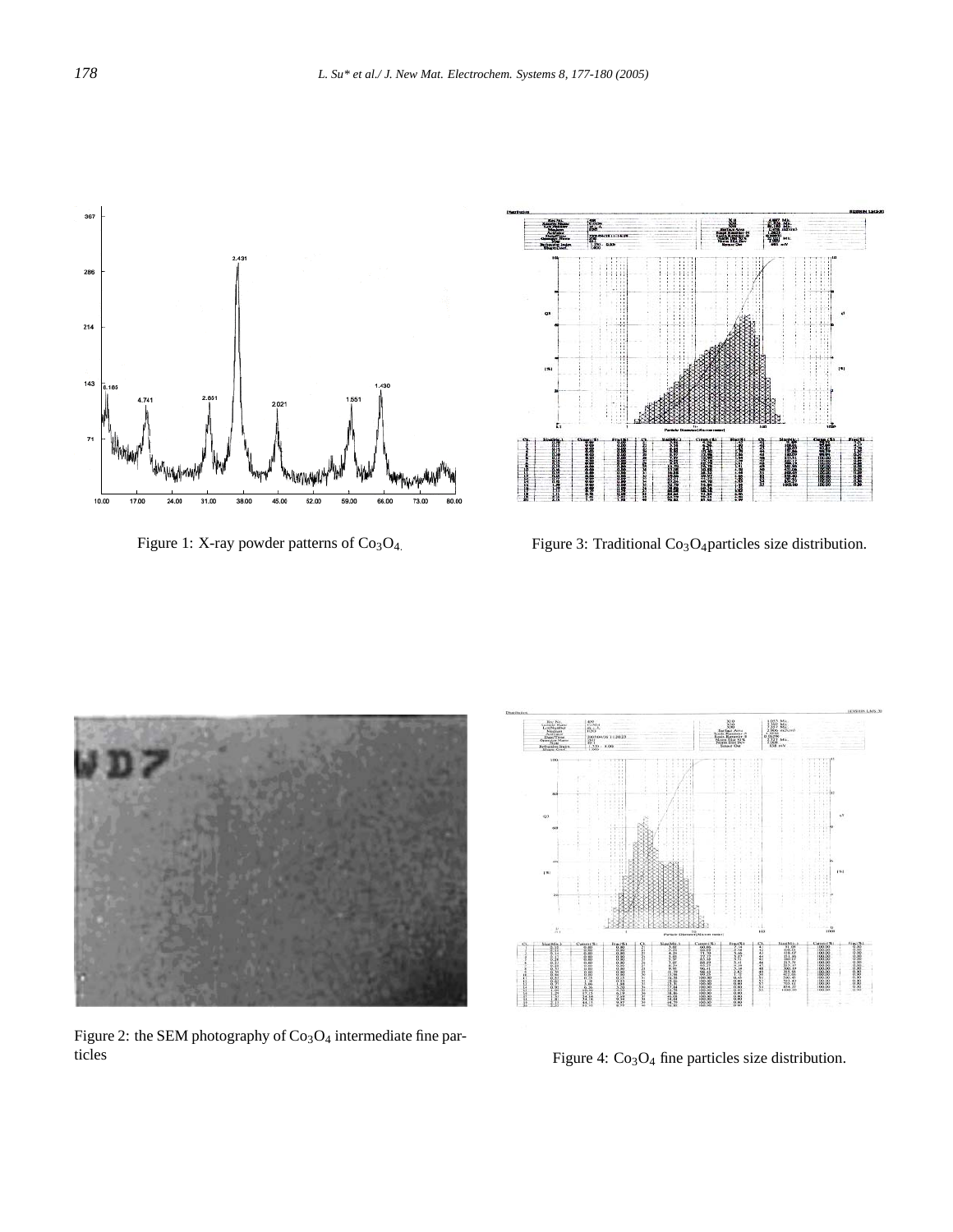

Figure 1: X-ray powder patterns of  $Co<sub>3</sub>O<sub>4</sub>$ .



Figure 3: Traditional Co<sub>3</sub>O<sub>4</sub>particles size distribution.



能

Figure 2: the SEM photography of  $Co<sub>3</sub>O<sub>4</sub>$  intermediate fine particles

Figure 4: Co<sub>3</sub>O<sub>4</sub> fine particles size distribution.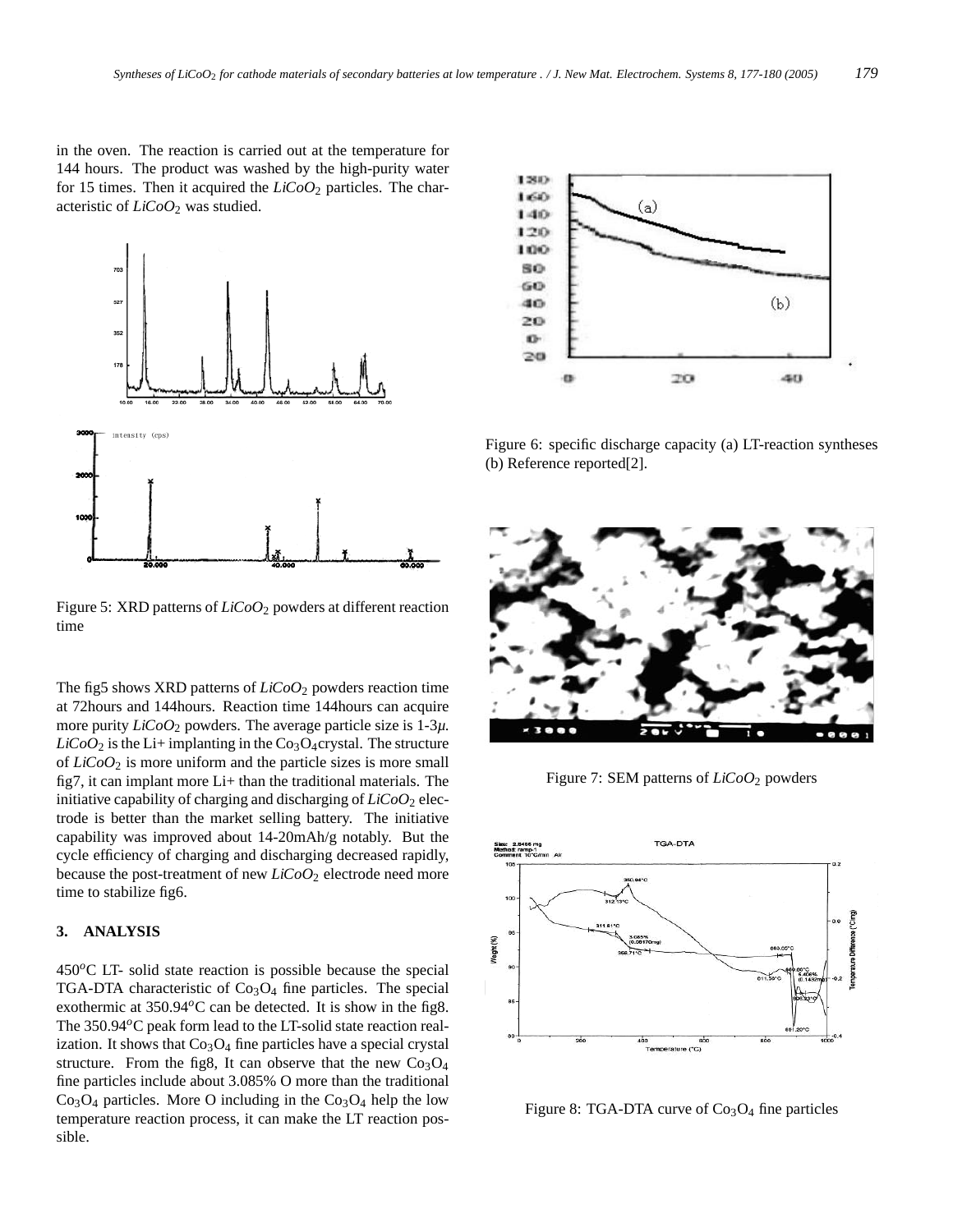in the oven. The reaction is carried out at the temperature for 144 hours. The product was washed by the high-purity water for 15 times. Then it acquired the *LiCoO*<sup>2</sup> particles. The characteristic of *LiCoO*<sup>2</sup> was studied.



Figure 5: XRD patterns of *LiCoO*<sup>2</sup> powders at different reaction time

The fig5 shows XRD patterns of *LiCoO*<sub>2</sub> powders reaction time at 72hours and 144hours. Reaction time 144hours can acquire more purity *LiCoO*<sup>2</sup> powders. The average particle size is 1-3*µ*.  $LiCoO<sub>2</sub>$  is the Li+ implanting in the Co<sub>3</sub>O<sub>4</sub>crystal. The structure of *LiCoO*<sup>2</sup> is more uniform and the particle sizes is more small fig7, it can implant more Li+ than the traditional materials. The initiative capability of charging and discharging of  $LiCoO<sub>2</sub>$  electrode is better than the market selling battery. The initiative capability was improved about 14-20mAh/g notably. But the cycle efficiency of charging and discharging decreased rapidly, because the post-treatment of new *LiCoO*<sub>2</sub> electrode need more time to stabilize fig6.

#### **3. ANALYSIS**

450*o*C LT- solid state reaction is possible because the special TGA-DTA characteristic of  $Co<sub>3</sub>O<sub>4</sub>$  fine particles. The special exothermic at 350.94*o*C can be detected. It is show in the fig8. The 350.94<sup>o</sup>C peak form lead to the LT-solid state reaction realization. It shows that  $Co<sub>3</sub>O<sub>4</sub>$  fine particles have a special crystal structure. From the fig8, It can observe that the new  $Co_3O_4$ fine particles include about 3.085% O more than the traditional  $Co<sub>3</sub>O<sub>4</sub>$  particles. More O including in the  $Co<sub>3</sub>O<sub>4</sub>$  help the low temperature reaction process, it can make the LT reaction possible.



Figure 6: specific discharge capacity (a) LT-reaction syntheses (b) Reference reported[2].



Figure 7: SEM patterns of *LiCoO*<sup>2</sup> powders



Figure 8: TGA-DTA curve of  $Co<sub>3</sub>O<sub>4</sub>$  fine particles